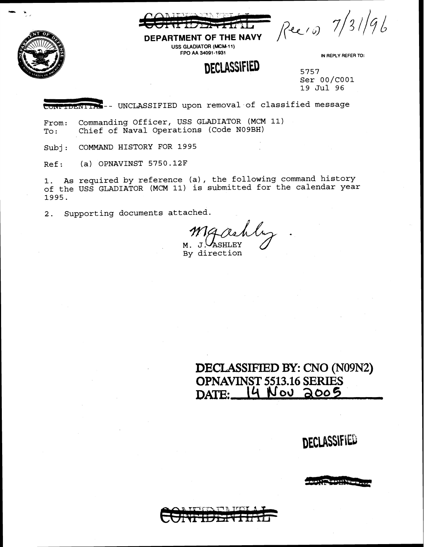

Reero 7/31/96

DEPARTMENT OF THE NAVY USS GLADIATOR (MCM-11) FPO AA 34091-1931

### **DECLASSIFIED**

IN REPLY REFER TO:

5757 Ser 00/COOl 19 Jul 96

**CONFIDENTIAS** -- UNCLASSIFIED upon removal of classified message

From: Commanding Officer, USS GLADIATOR (MCM 11)<br>To: Chief of Naval Operations (Code N09BH) Chief of Naval Operations (Code N09BH)

Subj: COMMAND HISTORY FOR 1995

Ref: (a) OPNAVINST 5750.12F

1. As required by reference (a), the following command history of the USS GLADIATOR (MCM 11) is submitted for the calendar year 1995.

2. Supporting documents attached.

**ASHLEY** 

М. By direction

DECLASSIFIED BY: CNO (N09N2) OPNAVINST **5513.16** SERIES DATE: 14 Nov 2005

Al•~~~ ...... : .. , .... \_\_\_ \_\_!""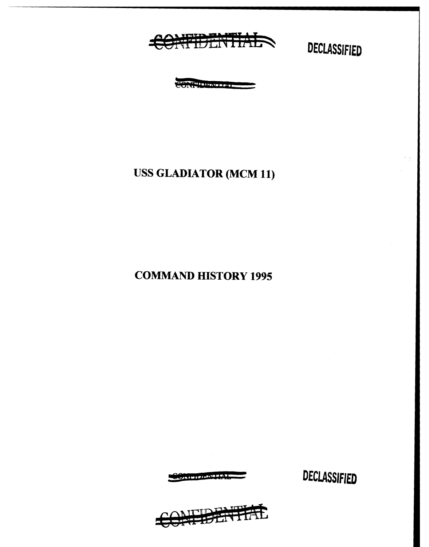

**CONTRACT OF STRAIGHT AND** 

### **USS GLADIATOR (MCM 11)**

**COMMAND HISTORY 1995** 

**CARBINIANS** 

我讲书社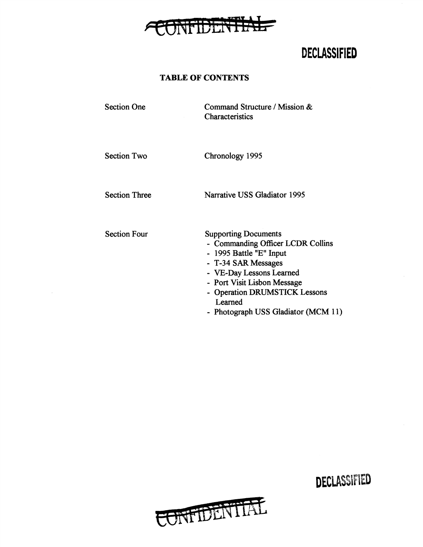

#### TABLE OF CONTENTS

Section One Command Structure / Mission & **Characteristics** 

Section Two

Chronology 1995

Section Three

Narrative USS Gladiator 1995

Section Four

Supporting Documents

- Commanding Officer LCDR Collins
- 1995 Battle "E" Input
- T-34 SAR Messages
- VE-Day Lessons Learned
- Port Visit Lisbon Message
- Operation DRUMSTICK Lessons Learned
- Photograph USS Gladiator (MCM 11)



DECLASSlf\ED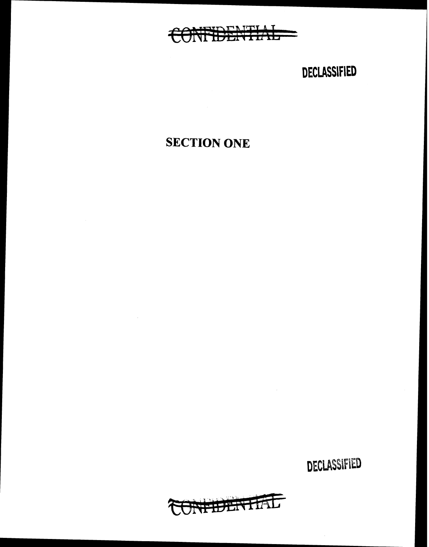

## SECTION ONE

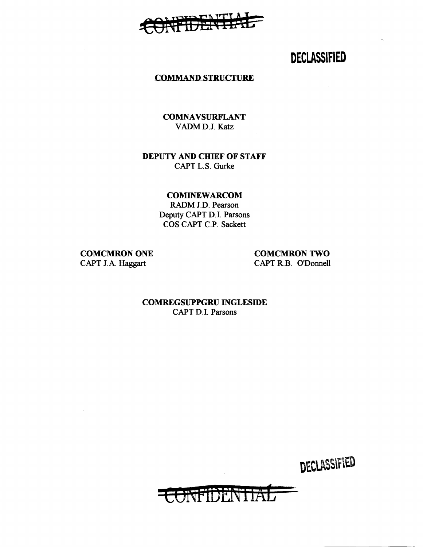#### TAITIA **TEXTER**

### **DECLASSIFIED**

#### COMMAND STRUCTURE

**COMNAVSURFLANT** VADMD.J. Katz

#### DEPUTY AND CHIEF OF STAFF CAPT L.S. Gurke

COMINEWARCOM

RADM J.D. Pearson Deputy CAPT D.I. Parsons COS CAPT C.P. Sackett

COMCMRON ONE CAPT J.A. Haggart

COMCMRON TWO CAPT R.B. O'Donnell

COMREGSUPPGRU INGLESIDE CAPT D.I. Parsons

scer~F1DEN'f **tA15**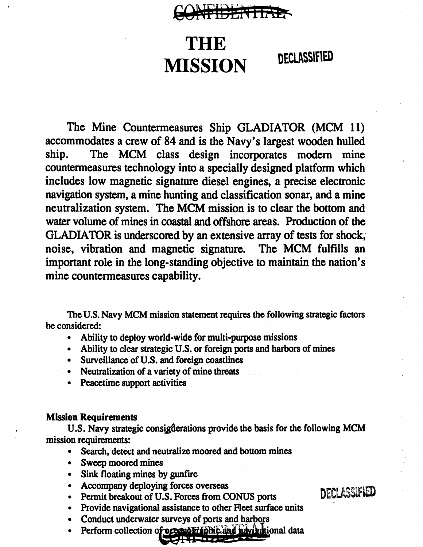## CONFIDENTIAE

# THE MISSION DECLASSIFIED

The Mine Countermeasures Ship GLADIATOR (MCM 11) accommodates a crew of 84 and is the Navy's largest wooden hulled ship. The MCM class design incorporates modem mine countermeasures technology into a specially designed platform which includes low magnetic signature diesel engines, a precise electronic navigation system, a mine hunting and classification sonar, and a mine neutralization system. The MCM mission is to clear the bottom and water volume of mines in coastal and offshore areas. Production of the GLADIATOR is underscored by an extensive array of tests for shock, noise, vibration and magnetic signature. The MCM fulfills an important role in the long-standing objective to maintain the nation's mine countermeasures capability.

The U.S. Navy MCM mission statement requires the following strategic factors be considered:

- Ability to deploy world-wide for multi-purpose missions
- Ability to clear strategic U.S. or foreign ports and harbors of mines
- Surveillance of U.S. and foreign coastlines
- Neutralization of a variety of mine threats
- Peacetime support activities

#### **Mission Requirements**

U.S. Navy strategic consigderations provide the basis for the following MCM mission requirements:

- Search, detect and neutralize moored and bottom mines
- Sweep moored mines
- Sink floating mines by gunfire
- Accompany deploying forces overseas
- Permit breakout of U.S. Forces from CONUS ports DECLASSIFIED
- Provide navigational assistance to other Fleet surface units
- Conduct underwater surveys of ports and harbors
- Perform collection of oceanor applicand havitational data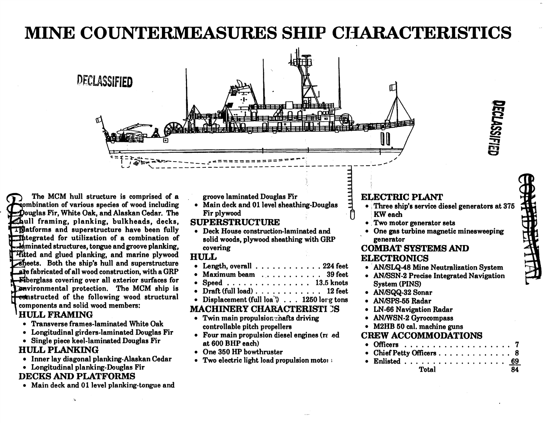## **MINE COUNTERMEASURES SHIP CHARACTERISTICS**



DECLASSIFIED

The MCM hull structure is comprised of a combination of various species of wood including Douglas Fir, White Oak, and Alaskan Cedar. The hull framing, planking, bulkheads, decks, Thatforms and superstructure have been fully The grated for utilization of a combination of Aminated structures, tongue and groove planking, Fitted and glued planking, and marine plywood sheets. Both the ship's hull and superstructure are fabricated of all wood construction, with a GRP -Fiberglass covering over all exterior surfaces for **Lenvironmental protection.** The MCM ship is **Present example 3** feature the following wood structural components and solid wood members:

#### **HULL FRAMING**

- Transverse frames-laminated White Oak
- Longitudinal girders-laminated Douglas Fir
- Single piece keel-laminated Douglas Fir

### **HULL PLANKING**

- Inner lay diagonal planking-Alaskan Cedar
- Longitudinal planking-Douglas Fir

### **DECKS AND PLATFORMS**

• Main deck and 01 level planking-tongue and

groove laminated Douglas Fir

• Main deck and 01 level sheathing-Douglas Fir plywood

### **SUPERSTRUCTURE**

• Deck House construction-laminated and solid woods, plywood sheathing with GRP covering

#### **HULL**

- Length. overall  $\ldots$ ,  $\ldots$ ,  $\ldots$ , 224 feet
- Maximum beam . . . . . . . . . . . 39 feet
- Speed . . . . . . . . . . . . . . 13.5 knots
- Draft (full load) . . . . . . . . . . . . 12 feet
- Displacement (full loa') . . . 1250 lorg tons

### **MACHINERY CHARACTERISTI 3S**

- Twin main propulsion thafts driving controllable pitch propellers
- Four main propulsion diesel engines (re ed at 600 BHP each)
- One 350 HP bowthruster
- Two electric light load propulsion motor

### **ELECTRIC PLANT**

- Three ship's service diesel generators at 375 **KW** each
- Two motor generator sets
- One gas turbine magnetic minesweeping generator

#### **COMBAT SYSTEMS AND ELECTRONICS**

- AN/SLQ-48 Mine Neutralization System
- AN/SSN-2 Precise Integrated Navigation **System (PINS)**
- · AN/SQQ-32 Sonar
- AN/SPS-55 Radar
- LN-66 Navigation Radar
- AN/WSN-2 Gyrocompass
- M2HB 50 cal. machine guns

#### **CREW ACCOMMODATIONS**

• Chief Petty Officers............. 8 Enlisted . . . . . . . . . . . . . . . . . . **Total**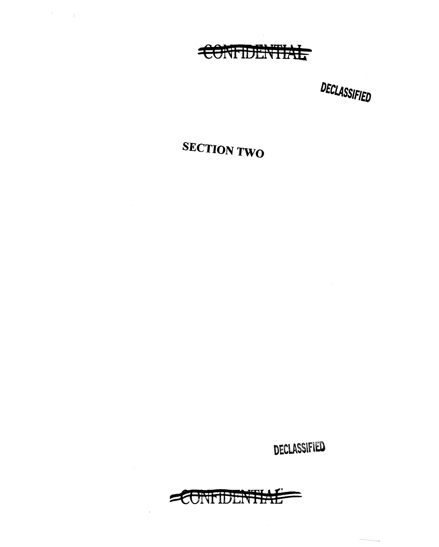

# **SECTION TWO**

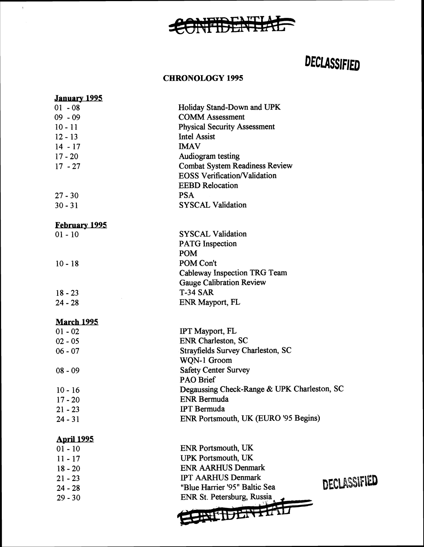

#### CHRONOLOGY 1995

 $\langle \cdot \rangle$ 

| January 1995         |                                             |              |
|----------------------|---------------------------------------------|--------------|
| $01 - 08$            | Holiday Stand-Down and UPK                  |              |
| $09 - 09$            | <b>COMM Assessment</b>                      |              |
| $10 - 11$            | <b>Physical Security Assessment</b>         |              |
| $12 - 13$            | <b>Intel Assist</b>                         |              |
| $14 - 17$            | <b>IMAV</b>                                 |              |
| $17 - 20$            | Audiogram testing                           |              |
| $17 - 27$            | <b>Combat System Readiness Review</b>       |              |
|                      | <b>EOSS Verification/Validation</b>         |              |
|                      | <b>EEBD</b> Relocation                      |              |
| $27 - 30$            | <b>PSA</b>                                  |              |
| $30 - 31$            | <b>SYSCAL Validation</b>                    |              |
| <b>February 1995</b> |                                             |              |
| $01 - 10$            | <b>SYSCAL Validation</b>                    |              |
|                      | <b>PATG</b> Inspection                      |              |
|                      | <b>POM</b>                                  |              |
| $10 - 18$            | POM Con't                                   |              |
|                      | Cableway Inspection TRG Team                |              |
|                      | <b>Gauge Calibration Review</b>             |              |
| $18 - 23$            | <b>T-34 SAR</b>                             |              |
| $24 - 28$            | ENR Mayport, FL                             |              |
| <b>March 1995</b>    |                                             |              |
| $01 - 02$            | IPT Mayport, FL                             |              |
| $02 - 05$            | <b>ENR Charleston, SC</b>                   |              |
| $06 - 07$            | Strayfields Survey Charleston, SC           |              |
|                      | WQN-1 Groom                                 |              |
| $08 - 09$            | <b>Safety Center Survey</b>                 |              |
|                      | <b>PAO Brief</b>                            |              |
| $10 - 16$            | Degaussing Check-Range & UPK Charleston, SC |              |
| $17 - 20$            | <b>ENR Bermuda</b>                          |              |
| $21 - 23$            | <b>IPT</b> Bermuda                          |              |
| $24 - 31$            | ENR Portsmouth, UK (EURO '95 Begins)        |              |
| <b>April 1995</b>    |                                             |              |
| $01 - 10$            | <b>ENR Portsmouth, UK</b>                   |              |
| $11 - 17$            | <b>UPK Portsmouth, UK</b>                   |              |
| $18 - 20$            | <b>ENR AARHUS Denmark</b>                   |              |
| $21 - 23$            | <b>IPT AARHUS Denmark</b>                   | DECLASSIFIED |
| $24 - 28$            | "Blue Harrier '95" Baltic Sea               |              |
| $29 - 30$            | ENR St. Petersburg, Russia                  |              |
|                      |                                             |              |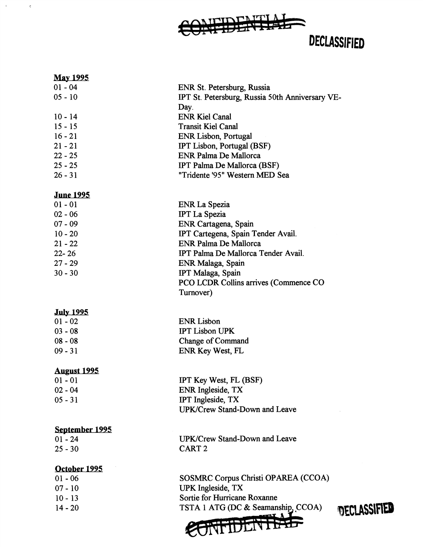

 $\alpha$  ,  $\alpha$  ,  $\alpha$ 

| <u>May 1995</u>    |                                                 |  |
|--------------------|-------------------------------------------------|--|
| $01 - 04$          | ENR St. Petersburg, Russia                      |  |
| $05 - 10$          | IPT St. Petersburg, Russia 50th Anniversary VE- |  |
|                    | Day.                                            |  |
| $10 - 14$          | <b>ENR Kiel Canal</b>                           |  |
| $15 - 15$          | <b>Transit Kiel Canal</b>                       |  |
| $16 - 21$          | <b>ENR Lisbon, Portugal</b>                     |  |
| $21 - 21$          | IPT Lisbon, Portugal (BSF)                      |  |
| $22 - 25$          | <b>ENR Palma De Mallorca</b>                    |  |
| 25 - 25            | IPT Palma De Mallorca (BSF)                     |  |
| $26 - 31$          | "Tridente '95" Western MED Sea                  |  |
| <u>June 1995</u>   |                                                 |  |
| $01 - 01$          | <b>ENR La Spezia</b>                            |  |
| $02 - 06$          | <b>IPT La Spezia</b>                            |  |
| $07 - 09$          | ENR Cartagena, Spain                            |  |
| $10 - 20$          | IPT Cartegena, Spain Tender Avail.              |  |
| $21 - 22$          | <b>ENR Palma De Mallorca</b>                    |  |
| $22 - 26$          | IPT Palma De Mallorca Tender Avail.             |  |
| 27 - 29            | ENR Malaga, Spain                               |  |
| $30 - 30$          | IPT Malaga, Spain                               |  |
|                    | <b>PCO LCDR Collins arrives (Commence CO</b>    |  |
|                    | Turnover)                                       |  |
|                    |                                                 |  |
| <b>July 1995</b>   |                                                 |  |
| $01 - 02$          | <b>ENR Lisbon</b>                               |  |
| $03 - 08$          | <b>IPT Lisbon UPK</b>                           |  |
| $08 - 08$          | Change of Command                               |  |
| $09 - 31$          | ENR Key West, FL                                |  |
| <b>August 1995</b> |                                                 |  |
| $01 - 01$          | IPT Key West, FL (BSF)                          |  |
| $02 - 04$          | ENR Ingleside, TX                               |  |
| $05 - 31$          | IPT Ingleside, TX                               |  |
|                    | <b>UPK/Crew Stand-Down and Leave</b>            |  |
| September 1995     |                                                 |  |
| $01 - 24$          | UPK/Crew Stand-Down and Leave                   |  |
| $25 - 30$          | CART <sub>2</sub>                               |  |
|                    |                                                 |  |
| October 1995       |                                                 |  |
| $01 - 06$          | SOSMRC Corpus Christi OPAREA (CCOA)             |  |
| $07 - 10$          | <b>UPK</b> Ingleside, TX                        |  |
| $10 - 13$          | Sortie for Hurricane Roxanne                    |  |
| $14 - 20$          | TSTA 1 ATG (DC & Seamanship, CCOA)<br>0F        |  |
|                    | <b>MTTTTTT</b>                                  |  |
|                    |                                                 |  |

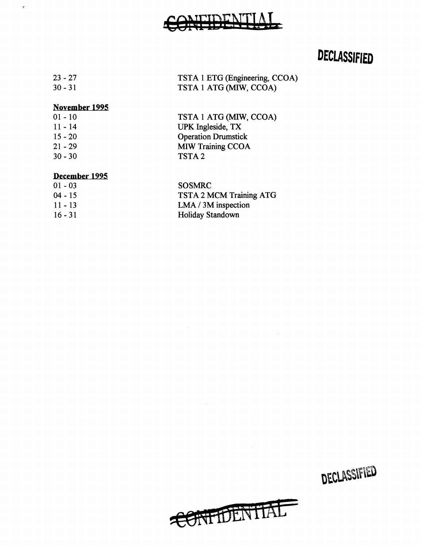# TIDENT

## DECLASSIFIED

| $23 - 27$ | TSTA 1 ETG (Engineering, CCOA) |
|-----------|--------------------------------|
| $30 - 31$ | TSTA 1 ATG (MIW, CCOA)         |

#### November 1995

 $\epsilon$ 

| $01 - 10$ | TSTA 1 ATG (MIW, CCOA)     |
|-----------|----------------------------|
| $11 - 14$ | UPK Ingleside, TX          |
| $15 - 20$ | <b>Operation Drumstick</b> |
| $21 - 29$ | <b>MIW Training CCOA</b>   |
| $30 - 30$ | TSTA <sub>2</sub>          |
|           |                            |

#### December 1995

| $01 - 03$ | <b>SOSMRC</b>           |
|-----------|-------------------------|
| $04 - 15$ | TSTA 2 MCM Training ATG |
| $11 - 13$ | $LMA / 3M$ inspection   |
| $16 - 31$ | Holiday Standown        |

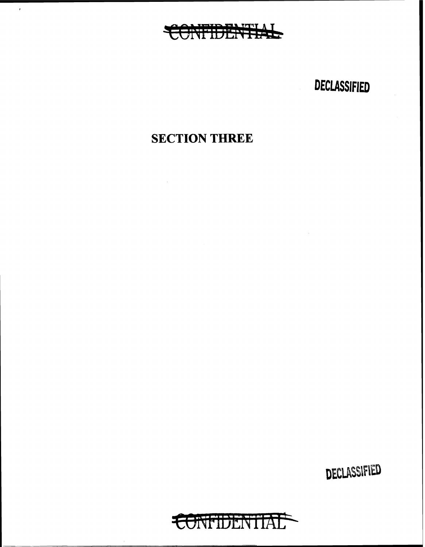## CONFIDENTIAL

 $\epsilon$ 

DECLASSIFIED

## **SECTION THREE**

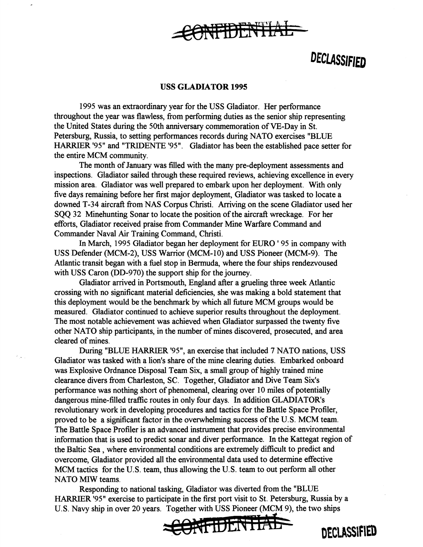

#### **USS GLADIATOR 1995**

1995 was an extraordinary year for the USS Gladiator. Her performance throughout the year was flawless, from performing duties as the senior ship representing the United States during the 50th anniversary commemoration of VE-Day in St. Petersburg, Russia, to setting performances records during NATO exercises "BLUE HARRIER '95" and "TRIDENTE '95". Gladiator has been the established pace setter for the entire MCM community.

The month of January was filled with the many pre-deployment assessments and inspections. Gladiator sailed through these required reviews, achieving excellence in every mission area. Gladiator was well prepared to embark upon her deployment. With only five days remaining before her first major deployment, Gladiator was tasked to locate a downed T-34 aircraft from NAS Corpus Christi. Arriving on the scene Gladiator used her SQQ 32 Minehunting Sonar to locate the position of the aircraft wreckage. For her efforts, Gladiator received praise from Commander Mine Warfare Command and Commander Naval Air Training Command, Christi.

In March, 1995 Gladiator began her deployment for EURO ' 95 in company with USS Defender (MCM-2), USS Warrior (MCM-10) and USS Pioneer (MCM-9). The Atlantic transit began with a fuel stop in Bermuda, where the four ships rendezvoused with USS Caron (DD-970) the support ship for the journey.

Gladiator arrived in Portsmouth, England after a grueling three week Atlantic crossing with no significant material deficiencies, she was making a bold statement that this deployment would be the benchmark by which all future MCM groups would be measured. Gladiator continued to achieve superior results throughout the deployment. The most notable achievement was achieved when Gladiator surpassed the twenty five other NATO ship participants, in the number of mines discovered, prosecuted, and area cleared of mines.

During "BLUE HARRIER '95", an exercise that included 7 NATO nations, USS Gladiator was tasked with a lion's share of the mine clearing duties. Embarked onboard was Explosive Ordnance Disposal Team Six, a small group of highly trained mine clearance divers from Charleston, SC. Together, Gladiator and Dive Team Six's performance was nothing short of phenomenal, clearing over 10 miles of potentially dangerous mine-filled traffic routes in only four days. In addition GLADIATOR's revolutionary work in developing procedures and tactics for the Battle Space Profiler, proved to be a significant factor in the overwhelming success of the U.S. MCM team. The Battle Space Profiler is an advanced instrument that provides precise environmental information that is used to predict sonar and diver performance. In the Kattegat region of the Baltic Sea , where environmental conditions are extremely difficult to predict and overcome, Gladiator provided all the environmental data used to determine effective MCM tactics for the U.S. team, thus allowing the U.S. team to out perform all other NATO MIW teams.

Responding to national tasking, Gladiator was diverted from the "BLUE HARRIER '95" exercise to participate in the first port visit to St. Petersburg, Russia by a U.S. Navy ship in over 20 years. Together with USS Pioneer (MCM 9), the two ships



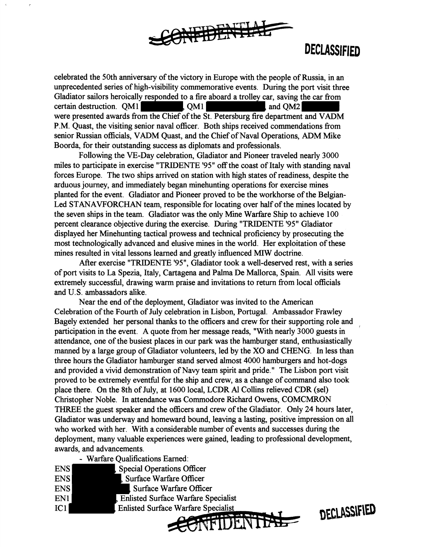

celebrated the 50th anniversary of the victory in Europe with the people of Russia, in an unprecedented series of high-visibility commemorative events. During the port visit three unprecedented series or mgn-visibility commemorative events. During the port visit through Gladiator sailors heroically responded to a fire aboard a trolley car, saving the car from Gladiator sailors heroically responded to a fire aboard a trolley car, saving the car from<br>certain destruction. QM1 QM1 QM1 and QM2 were presented awards from the Chief of the St. Petersburg fire department and VADM P.M. Quast, the visiting senior naval officer. Both ships received commendations from senior Russian officials, V ADM Quast, and the Chief of Naval Operations, ADM Mike Boorda, for their outstanding success as diplomats and professionals.

Following the VE-Day celebration, Gladiator and Pioneer traveled nearly 3000 miles to participate in exercise "TRIDENTE '95" off the coast of Italy with standing naval forces Europe. The two ships arrived on station with high states of readiness, despite the arduous journey, and immediately began minehunting operations for exercise mines planted for the event. Gladiator and Pioneer proved to be the workhorse of the Belgian-Led STANAVFORCHAN team, responsible for locating over half of the mines located by the seven ships in the team. Gladiator was the only Mine Warfare Ship to achieve 100 percent clearance objective during the exercise. During "TRIDENTE '95" Gladiator displayed her Minehunting tactical prowess and technical proficiency by prosecuting the most technologically advanced and elusive mines in the world. Her exploitation of these mines resulted in vital lessons learned and greatly influenced MIW doctrine.

After exercise "TRIDENTE '95", Gladiator took a well-deserved rest, with a series of port visits to La Spezia, Italy, Cartagena and Palma De Mallorca, Spain. All visits were extremely successful, drawing warm praise and invitations to return from local officials and U.S. ambassadors alike.

Near the end of the deployment, Gladiator was invited to the American Celebration of the Fourth of July celebration in Lisbon, Portugal. Ambassador Frawley Bagely extended her personal thanks to the officers and crew for their supporting role and participation in the event. A quote from her message reads, "With nearly 3000 guests in attendance, one of the busiest places in our park was the hamburger stand, enthusiastically manned by a large group of Gladiator volunteers, led by the XO and CHENG. In less than three hours the Gladiator hamburger stand served almost 4000 hamburgers and hot-dogs and provided a vivid demonstration of Navy team spirit and pride." The Lisbon port visit proved to be extremely eventful for the ship and crew, as a change of command also took place there. On the 8th of July, at 1600 local, LCDR Al Collins relieved CDR (sel) Christopher Noble. In attendance was Commodore Richard Owens, COMCMRON THREE the guest speaker and the officers and crew of the Gladiator. Only 24 hours later, Gladiator was underway and homeward bound, leaving a lasting, positive impression on all who worked with her. With a considerable number of events and successes during the deployment, many valuable experiences were gained, leading to professional development, awards, and advancements.

~~FIDEN ti/. ~

- Warfare Qualifications Earned:

|                 | ward Cammodion Dame.                       |
|-----------------|--------------------------------------------|
| <b>ENS</b>      | <b>Special Operations Officer</b>          |
| <b>ENS</b>      | Surface Warfare Officer                    |
| <b>ENS</b>      | Surface Warfare Officer                    |
| EN1             | <b>Enlisted Surface Warfare Specialist</b> |
| IC <sub>1</sub> | <b>Enlisted Surface Warfare Specialist</b> |
|                 |                                            |

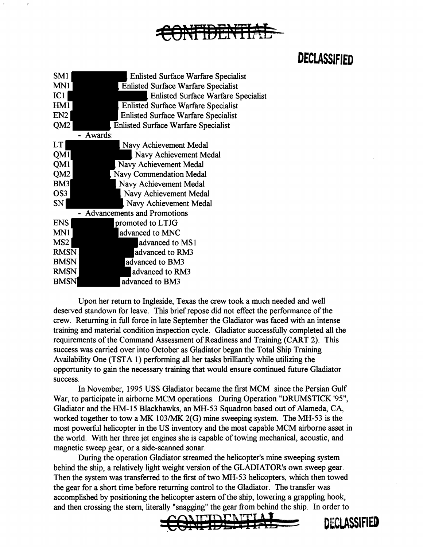

| SM <sub>1</sub>                    | <b>Enlisted Surface Warfare Specialist</b> |  |
|------------------------------------|--------------------------------------------|--|
| MN1                                | <b>Enlisted Surface Warfare Specialist</b> |  |
| IC1                                | <b>Enlisted Surface Warfare Specialist</b> |  |
| HM1                                | <b>Enlisted Surface Warfare Specialist</b> |  |
| EN <sub>2</sub>                    | <b>Enlisted Surface Warfare Specialist</b> |  |
| QM <sub>2</sub>                    | Enlisted Surface Warfare Specialist        |  |
|                                    | Awards:                                    |  |
| LT                                 | Navy Achievement Medal                     |  |
| OM1                                | Navy Achievement Medal                     |  |
| QM1                                | Navy Achievement Medal                     |  |
| QM2                                | <b>Navy Commendation Medal</b>             |  |
| BM <sub>3</sub>                    | Navy Achievement Medal                     |  |
| OS <sub>3</sub>                    | Navy Achievement Medal                     |  |
| <b>SN</b>                          | Navy Achievement Medal                     |  |
| <b>Advancements and Promotions</b> |                                            |  |
| <b>ENS</b>                         | promoted to LTJG                           |  |
| MN1                                | advanced to MNC                            |  |
| MS <sub>2</sub>                    | advanced to MS1                            |  |
| <b>RMSN</b>                        | advanced to RM3                            |  |
| <b>BMSN</b>                        | advanced to BM3                            |  |
| <b>RMSN</b>                        | advanced to RM3                            |  |
| <b>BMSN</b>                        | advanced to BM3                            |  |

Upon her return to Ingleside, Texas the crew took a much needed and well deserved standown for leave. This brief repose did not effect the performance of the crew. Returning in full force in late September the Gladiator was faced with an intense training and material condition inspection cycle. Gladiator successfully completed all the requirements of the Command Assessment of Readiness and Training (CART 2). This success was carried over into October as Gladiator began the Total Ship Training Availability One (TSTA 1) performing all her tasks brilliantly while utilizing the opportunity to gain the necessary training that would ensure continued future Gladiator success.

In November, 1995 USS Gladiator became the first MCM since the Persian Gulf War, to participate in airborne MCM operations. During Operation "DRUMSTICK '95", Gladiator and the IW-15 Blackhawks, an MH-53 Squadron based out of Alameda, CA, worked together to tow a MK 103/MK 2(G) mine sweeping system. The MH-53 is the most powerful helicopter in the US inventory and the most capable MCM airborne asset in the world. With her three jet engines she is capable of towing mechanical, acoustic, and magnetic sweep gear, or a side-scanned sonar.

During the operation Gladiator streamed the helicopter's mine sweeping system behind the ship, a relatively light weight version of the GLADIATOR's own sweep gear. Then the system was transferred to the first of two MH-53 helicopters, which then towed the gear for a short time before returning control to the Gladiator. The transfer was accomplished by positioning the helicopter astern of the ship, lowering a grappling hook, and then crossing the stern, literally "snagging" the gear from behind the ship. In order to